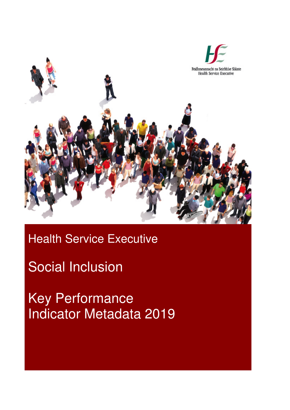

## Health Service Executive

## Social Inclusion

Key Performance Indicator Metadata 2019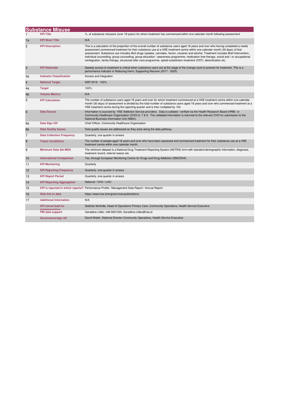|                | <b>Substance Misuse</b>                     |                                                                                                                                                                                                                                                                                                                                                                                                                                                                                                                                                                                                                                                                                          |
|----------------|---------------------------------------------|------------------------------------------------------------------------------------------------------------------------------------------------------------------------------------------------------------------------------------------------------------------------------------------------------------------------------------------------------------------------------------------------------------------------------------------------------------------------------------------------------------------------------------------------------------------------------------------------------------------------------------------------------------------------------------------|
|                | <b>KPI Title</b>                            | %, of substance misusers (over 18 years) for whom treatment has commenced within one calendar month following assessment                                                                                                                                                                                                                                                                                                                                                                                                                                                                                                                                                                 |
| 1a             | <b>KPI Short Title</b>                      | N/A                                                                                                                                                                                                                                                                                                                                                                                                                                                                                                                                                                                                                                                                                      |
| $\overline{c}$ | <b>KPI Description</b>                      | This is a calculation of the proportion of the overall number of substance users aged 18 years and over who having completed a needs<br>assessment commenced treatment for their substance use at a HSE treatment centre within one calendar month (30 days) of that<br>assessment. Substance use includes illicit drugs (opiates, cannabis, heroin, cocaine) and alcohol. Treatment includes Brief Intervention,<br>individual counselling, group counselling, group education / awareness programme, medication-free therapy, social and / or occupational<br>reintegration, family therapy, structured after care programme, opioid substitution treatment (OST), detoxification etc. |
| 3              | <b>KPI Rationale</b>                        | Speedy access to treatment is critical when substance users are at the stage of the change cycle to present for treatment. This is a<br>performance indicator in Reducing Harm, Supporting Recover (2017 - 2025)                                                                                                                                                                                                                                                                                                                                                                                                                                                                         |
| За             | <b>Indicator Classification</b>             | Access and Integration                                                                                                                                                                                                                                                                                                                                                                                                                                                                                                                                                                                                                                                                   |
| 4              | <b>National Target</b>                      | NSP 2019 - 100%                                                                                                                                                                                                                                                                                                                                                                                                                                                                                                                                                                                                                                                                          |
| 4a             | <b>Target</b>                               | 100%                                                                                                                                                                                                                                                                                                                                                                                                                                                                                                                                                                                                                                                                                     |
| 4 <sub>b</sub> | <b>Volume Metrics</b>                       | N/A                                                                                                                                                                                                                                                                                                                                                                                                                                                                                                                                                                                                                                                                                      |
| 5              | <b>KPI Calculation</b>                      | The number of substance users aged 18 years and over for whom treatment commenced at a HSE treatment centre within one calendar<br>month (30 days) of assessment is divided by the total number of substance users aged 18 years and over who commenced treatment at a<br>HSE treatment centre during the reporting quarter and is then multiplied by 100.                                                                                                                                                                                                                                                                                                                               |
| 6              | <b>Data Source</b>                          | Information is sourced by HSE Addiction Service providers. Data is collated / verified via the Health Research Board (HRB) or<br>Community Healthcare Organisation (CHO) 6, 7 & 9. The validated information is returned to the relevant CHO for submission to the<br>National Business Information Unit (NBIU).                                                                                                                                                                                                                                                                                                                                                                         |
| 6a             | Data Sign Off                               | Chief Officer, Community Healthcare Organisation                                                                                                                                                                                                                                                                                                                                                                                                                                                                                                                                                                                                                                         |
| 6 <sub>b</sub> | <b>Data Quality Issues</b>                  | Data quality issues are addressed as they arise along the data pathway.                                                                                                                                                                                                                                                                                                                                                                                                                                                                                                                                                                                                                  |
| 7              | <b>Data Collection Frequency</b>            | Quarterly, one quarter in arrears                                                                                                                                                                                                                                                                                                                                                                                                                                                                                                                                                                                                                                                        |
| 8              | <b>Tracer Conditions</b>                    | The number of people aged 18 years and over who have been assessed and commenced treatment for their substance use at a HSE<br>treatment centre within one calendar month.                                                                                                                                                                                                                                                                                                                                                                                                                                                                                                               |
| 9              | <b>Minimum Data Set MDS</b>                 | The minimum dataset is a National Drug Treatment Reporting System (NDTRS) form with standard demographic information, diagnosis,<br>treatment record, referral reason etc.                                                                                                                                                                                                                                                                                                                                                                                                                                                                                                               |
| 10             | <b>International Comparison</b>             | Yes, through European Monitoring Centre for Drugs and Drug Addiction (EMCDDA).                                                                                                                                                                                                                                                                                                                                                                                                                                                                                                                                                                                                           |
| 11             | <b>KPI Monitoring</b>                       | Quarterly                                                                                                                                                                                                                                                                                                                                                                                                                                                                                                                                                                                                                                                                                |
| 12             | <b>KPI Reporting Frequency</b>              | Quarterly, one quarter in arrears                                                                                                                                                                                                                                                                                                                                                                                                                                                                                                                                                                                                                                                        |
| 13             | <b>KPI Report Period</b>                    | Quarterly, one quarter in arrears                                                                                                                                                                                                                                                                                                                                                                                                                                                                                                                                                                                                                                                        |
| 14             | <b>KPI Reporting Aggregation</b>            | National / CHO / LHO                                                                                                                                                                                                                                                                                                                                                                                                                                                                                                                                                                                                                                                                     |
| 15             |                                             | KPI is reported in which reports? Performance Profile / Management Data Report / Annual Report                                                                                                                                                                                                                                                                                                                                                                                                                                                                                                                                                                                           |
| 16             | Web link to data                            | https://www.hse.ie/eng/services/publications/                                                                                                                                                                                                                                                                                                                                                                                                                                                                                                                                                                                                                                            |
| 17             | <b>Additional Information</b>               | N/A                                                                                                                                                                                                                                                                                                                                                                                                                                                                                                                                                                                                                                                                                      |
|                | <b>KPI</b> owner/lead for<br>implementation | Siobhán McArdle, Head of Operations Primary Care, Community Operations, Health Service Executive                                                                                                                                                                                                                                                                                                                                                                                                                                                                                                                                                                                         |
|                | PBI data support                            | Geraldine Littler, 046 9251330, Geraldine.Littler@hse.ie                                                                                                                                                                                                                                                                                                                                                                                                                                                                                                                                                                                                                                 |
|                | Governance/sign off                         | David Walsh, National Director Community Operations, Health Service Executive                                                                                                                                                                                                                                                                                                                                                                                                                                                                                                                                                                                                            |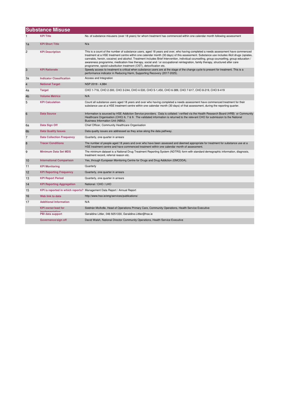|                | <b>Substance Misuse</b>                     |                                                                                                                                                                                                                                                                                                                                                                                                                                                                                                                                                                                                                                         |  |
|----------------|---------------------------------------------|-----------------------------------------------------------------------------------------------------------------------------------------------------------------------------------------------------------------------------------------------------------------------------------------------------------------------------------------------------------------------------------------------------------------------------------------------------------------------------------------------------------------------------------------------------------------------------------------------------------------------------------------|--|
|                | <b>KPI Title</b>                            | No. of substance misusers (over 18 years) for whom treatment has commenced within one calendar month following assessment                                                                                                                                                                                                                                                                                                                                                                                                                                                                                                               |  |
| 1a             | <b>KPI Short Title</b>                      | N/a                                                                                                                                                                                                                                                                                                                                                                                                                                                                                                                                                                                                                                     |  |
| 2              | <b>KPI Description</b>                      | This is a count of the number of substance users, aged 18 years and over, who having completed a needs assessment have commenced<br>treatment at a HSE treatment centre within one calendar month (30 days) of this assessment. Substance use includes illicit drugs (opiates,<br>cannabis, heroin, cocaine) and alcohol. Treatment includes Brief Intervention, individual counselling, group counselling, group education /<br>awareness programme, medication-free therapy, social and / or occupational reintegration, family therapy, structured after care<br>programme, opioid substitution treatment (OST), detoxification etc. |  |
| 3              | <b>KPI Rationale</b>                        | Speedy access to treatment is critical when substance users are at the stage of the change cycle to present for treatment. This is a<br>performance indicator in Reducing Harm, Supporting Recovery (2017-2025).                                                                                                                                                                                                                                                                                                                                                                                                                        |  |
| За             | <b>Indicator Classification</b>             | Access and Integration                                                                                                                                                                                                                                                                                                                                                                                                                                                                                                                                                                                                                  |  |
| $\overline{4}$ | <b>National Target</b>                      | NSP 2019 - 4,884                                                                                                                                                                                                                                                                                                                                                                                                                                                                                                                                                                                                                        |  |
| 4a             | <b>Target</b>                               | CHO 1-716, CHO 2-300, CHO 3-244, CHO 4-530, CHO 5-1,450, CHO 6-389, CHO 7-617, CHO 8-219, CHO 9-419                                                                                                                                                                                                                                                                                                                                                                                                                                                                                                                                     |  |
| 4b             | <b>Volume Metrics</b>                       | N/A                                                                                                                                                                                                                                                                                                                                                                                                                                                                                                                                                                                                                                     |  |
| 5              | <b>KPI Calculation</b>                      | Count all substance users aged 18 years and over who having completed a needs assessment have commenced treatment for their<br>substance use at a HSE treatment centre within one calendar month (30 days) of that assessment, during the reporting quarter.                                                                                                                                                                                                                                                                                                                                                                            |  |
| 6              | <b>Data Source</b>                          | Information is sourced by HSE Addiction Service providers. Data is collated / verified via the Health Research Board (HRB) or Community<br>Healthcare Organisation (CHO) 6, 7 & 9. The validated information is returned to the relevant CHO for submission to the National<br>Business Information Unit (NBIU).                                                                                                                                                                                                                                                                                                                        |  |
| 6a             | Data Sign Off                               | Chief Officer, Community Healthcare Organisation                                                                                                                                                                                                                                                                                                                                                                                                                                                                                                                                                                                        |  |
| 6 <sub>b</sub> | <b>Data Quality Issues</b>                  | Data quality issues are addressed as they arise along the data pathway.                                                                                                                                                                                                                                                                                                                                                                                                                                                                                                                                                                 |  |
| 7              | <b>Data Collection Frequency</b>            | Quarterly, one quarter in arrears                                                                                                                                                                                                                                                                                                                                                                                                                                                                                                                                                                                                       |  |
| 8              | <b>Tracer Conditions</b>                    | The number of people aged 18 years and over who have been assessed and deemed appropriate for treatment for substance use at a<br>HSE treatment centre and have commenced treatment within one calendar month of assessment.                                                                                                                                                                                                                                                                                                                                                                                                            |  |
| 9              | <b>Minimum Data Set MDS</b>                 | The minimum dataset is a National Drug Treatment Reporting System (NDTRS) form with standard demographic information, diagnosis,<br>treatment record, referral reason etc.                                                                                                                                                                                                                                                                                                                                                                                                                                                              |  |
| 10             | <b>International Comparison</b>             | Yes, through European Monitoring Centre for Drugs and Drug Addiction (EMCDDA).                                                                                                                                                                                                                                                                                                                                                                                                                                                                                                                                                          |  |
| 11             | <b>KPI Monitoring</b>                       | Quarterly                                                                                                                                                                                                                                                                                                                                                                                                                                                                                                                                                                                                                               |  |
| 12             | <b>KPI Reporting Frequency</b>              | Quarterly, one quarter in arrears                                                                                                                                                                                                                                                                                                                                                                                                                                                                                                                                                                                                       |  |
| 13             | <b>KPI Report Period</b>                    | Quarterly, one quarter in arrears                                                                                                                                                                                                                                                                                                                                                                                                                                                                                                                                                                                                       |  |
| 14             | <b>KPI Reporting Aggregation</b>            | National / CHO / LHO                                                                                                                                                                                                                                                                                                                                                                                                                                                                                                                                                                                                                    |  |
| 15             |                                             | KPI is reported in which reports? Management Data Report / Annual Report                                                                                                                                                                                                                                                                                                                                                                                                                                                                                                                                                                |  |
| 16             | Web link to data                            | http://www.hse.ie/eng/services/publications/                                                                                                                                                                                                                                                                                                                                                                                                                                                                                                                                                                                            |  |
| 17             | <b>Additional Information</b>               | N/A                                                                                                                                                                                                                                                                                                                                                                                                                                                                                                                                                                                                                                     |  |
|                | <b>KPI owner/lead for</b><br>imnlamantation | Siobhán McArdle, Head of Operations Primary Care, Community Operations, Health Service Executive                                                                                                                                                                                                                                                                                                                                                                                                                                                                                                                                        |  |
|                | PBI data support                            | Geraldine Littler, 046 9251330, Geraldine.Littler@hse.ie                                                                                                                                                                                                                                                                                                                                                                                                                                                                                                                                                                                |  |
|                | Governance/sign off                         | David Walsh, National Director Community Operations, Health Service Executive                                                                                                                                                                                                                                                                                                                                                                                                                                                                                                                                                           |  |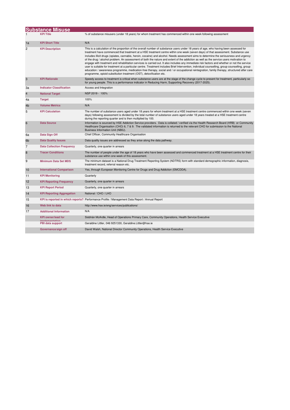|                | <b>Substance Misuse</b>                     |                                                                                                                                                                                                                                                                                                                                                                                                                                                                                                                                                                                                                                                                                                                                                                                                                                                                                                                                                                                                                                                                                       |
|----------------|---------------------------------------------|---------------------------------------------------------------------------------------------------------------------------------------------------------------------------------------------------------------------------------------------------------------------------------------------------------------------------------------------------------------------------------------------------------------------------------------------------------------------------------------------------------------------------------------------------------------------------------------------------------------------------------------------------------------------------------------------------------------------------------------------------------------------------------------------------------------------------------------------------------------------------------------------------------------------------------------------------------------------------------------------------------------------------------------------------------------------------------------|
|                | <b>KPI Title</b>                            | % of substance misusers (under 18 years) for whom treatment has commenced within one week following assessment                                                                                                                                                                                                                                                                                                                                                                                                                                                                                                                                                                                                                                                                                                                                                                                                                                                                                                                                                                        |
| 1a             | <b>KPI Short Title</b>                      | N/A                                                                                                                                                                                                                                                                                                                                                                                                                                                                                                                                                                                                                                                                                                                                                                                                                                                                                                                                                                                                                                                                                   |
| 2              | <b>KPI Description</b>                      | This is a calculation of the proportion of the overall number of substance users under 18 years of age, who having been assessed for<br>treatment have commenced that treatment at a HSE treatment centre within one week (seven days) of that assessment. Substance use<br>includes illicit drugs (opiates, cannabis, heroin, cocaine) and alcohol. Needs assessment aims to determine the seriousness and urgency<br>of the drug / alcohol problem. An assessment of both the nature and extent of the addiction as well as the service users motivation to<br>engage with treatment and rehabilitation services is carried out. It also includes any immediate risk factors and whether or not the service<br>user is suitable for treatment at a particular centre. Treatment includes Brief Intervention, individual counselling, group counselling, group<br>education / awareness programme, medication-free therapy, social and / or occupational reintegration, family therapy, structured after care<br>programme, opioid substitution treatment (OST), detoxification etc. |
| 3              | <b>KPI Rationale</b>                        | Speedy access to treatment is critical when substance users are at the stage of the change cycle to present for treatment, particularly so<br>for young people. This is a performance indicator in Reducing Harm, Supporting Recovery (2017-2025).                                                                                                                                                                                                                                                                                                                                                                                                                                                                                                                                                                                                                                                                                                                                                                                                                                    |
| За             | <b>Indicator Classification</b>             | Access and Integration                                                                                                                                                                                                                                                                                                                                                                                                                                                                                                                                                                                                                                                                                                                                                                                                                                                                                                                                                                                                                                                                |
| $\overline{4}$ | <b>National Target</b>                      | NSP 2019 - 100%                                                                                                                                                                                                                                                                                                                                                                                                                                                                                                                                                                                                                                                                                                                                                                                                                                                                                                                                                                                                                                                                       |
| 4a             | <b>Target</b>                               | 100%                                                                                                                                                                                                                                                                                                                                                                                                                                                                                                                                                                                                                                                                                                                                                                                                                                                                                                                                                                                                                                                                                  |
| 4b             | <b>Volume Metrics</b>                       | N/A                                                                                                                                                                                                                                                                                                                                                                                                                                                                                                                                                                                                                                                                                                                                                                                                                                                                                                                                                                                                                                                                                   |
| 5              | <b>KPI Calculation</b>                      | The number of substance users aged under 18 years for whom treatment at a HSE treatment centre commenced within one week (seven<br>days) following assessment is divided by the total number of substance users aged under 18 years treated at a HSE treatment centre<br>during the reporting quarter and is then multiplied by 100.                                                                                                                                                                                                                                                                                                                                                                                                                                                                                                                                                                                                                                                                                                                                                  |
| 6              | <b>Data Source</b>                          | Information is sourced by HSE Addiction Service providers. Data is collated / verified via the Health Research Board (HRB) or Community<br>Healthcare Organisation (CHO) 6, 7 & 9. The validated information is returned to the relevant CHO for submission to the National<br>Business Information Unit (NBIU).                                                                                                                                                                                                                                                                                                                                                                                                                                                                                                                                                                                                                                                                                                                                                                      |
| 6a             | Data Sign Off                               | Chief Officer, Community Healthcare Organisation                                                                                                                                                                                                                                                                                                                                                                                                                                                                                                                                                                                                                                                                                                                                                                                                                                                                                                                                                                                                                                      |
| 6 <sub>b</sub> | <b>Data Quality Issues</b>                  | Data quality issues are addressed as they arise along the data pathway.                                                                                                                                                                                                                                                                                                                                                                                                                                                                                                                                                                                                                                                                                                                                                                                                                                                                                                                                                                                                               |
| 7              | <b>Data Collection Frequency</b>            | Quarterly, one quarter in arrears                                                                                                                                                                                                                                                                                                                                                                                                                                                                                                                                                                                                                                                                                                                                                                                                                                                                                                                                                                                                                                                     |
| 8              | <b>Tracer Conditions</b>                    | The number of people under the age of 18 years who have been assessed and commenced treatment at a HSE treatment centre for their<br>substance use within one week of this assessment.                                                                                                                                                                                                                                                                                                                                                                                                                                                                                                                                                                                                                                                                                                                                                                                                                                                                                                |
| 9              | <b>Minimum Data Set MDS</b>                 | The minimum dataset is a National Drug Treatment Reporting System (NDTRS) form with standard demographic information, diagnosis,<br>treatment record, referral reason etc.                                                                                                                                                                                                                                                                                                                                                                                                                                                                                                                                                                                                                                                                                                                                                                                                                                                                                                            |
| 10             | <b>International Comparison</b>             | Yes, through European Monitoring Centre for Drugs and Drug Addiction (EMCDDA).                                                                                                                                                                                                                                                                                                                                                                                                                                                                                                                                                                                                                                                                                                                                                                                                                                                                                                                                                                                                        |
| 11             | <b>KPI Monitoring</b>                       | Quarterly                                                                                                                                                                                                                                                                                                                                                                                                                                                                                                                                                                                                                                                                                                                                                                                                                                                                                                                                                                                                                                                                             |
| 12             | <b>KPI Reporting Frequency</b>              | Quarterly, one quarter in arrears                                                                                                                                                                                                                                                                                                                                                                                                                                                                                                                                                                                                                                                                                                                                                                                                                                                                                                                                                                                                                                                     |
| 13             | <b>KPI Report Period</b>                    | Quarterly, one quarter in arrears                                                                                                                                                                                                                                                                                                                                                                                                                                                                                                                                                                                                                                                                                                                                                                                                                                                                                                                                                                                                                                                     |
| 14             | <b>KPI Reporting Aggregation</b>            | National / CHO / LHO                                                                                                                                                                                                                                                                                                                                                                                                                                                                                                                                                                                                                                                                                                                                                                                                                                                                                                                                                                                                                                                                  |
| 15             |                                             | KPI is reported in which reports? Performance Profile / Management Data Report / Annual Report                                                                                                                                                                                                                                                                                                                                                                                                                                                                                                                                                                                                                                                                                                                                                                                                                                                                                                                                                                                        |
| 16             | Web link to data                            | http://www.hse.ie/eng/services/publications/                                                                                                                                                                                                                                                                                                                                                                                                                                                                                                                                                                                                                                                                                                                                                                                                                                                                                                                                                                                                                                          |
| 17             | <b>Additional Information</b>               | N/A                                                                                                                                                                                                                                                                                                                                                                                                                                                                                                                                                                                                                                                                                                                                                                                                                                                                                                                                                                                                                                                                                   |
|                | <b>KPI</b> owner/lead for<br>implementation | Siobhán McArdle, Head of Operations Primary Care, Community Operations, Health Service Executive                                                                                                                                                                                                                                                                                                                                                                                                                                                                                                                                                                                                                                                                                                                                                                                                                                                                                                                                                                                      |
|                | PBI data support                            | Geraldine Littler, 046 9251330, Geraldine.Littler@hse.ie                                                                                                                                                                                                                                                                                                                                                                                                                                                                                                                                                                                                                                                                                                                                                                                                                                                                                                                                                                                                                              |
|                | Governance/sign off                         | David Walsh, National Director Community Operations, Health Service Executive                                                                                                                                                                                                                                                                                                                                                                                                                                                                                                                                                                                                                                                                                                                                                                                                                                                                                                                                                                                                         |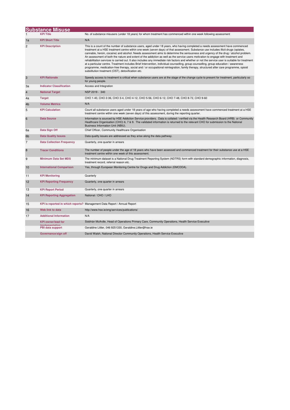|                | <b>Substance Misuse</b>                     |                                                                                                                                                                                                                                                                                                                                                                                                                                                                                                                                                                                                                                                                                                                                                                                                                                                                                                                                                                                                                                                  |
|----------------|---------------------------------------------|--------------------------------------------------------------------------------------------------------------------------------------------------------------------------------------------------------------------------------------------------------------------------------------------------------------------------------------------------------------------------------------------------------------------------------------------------------------------------------------------------------------------------------------------------------------------------------------------------------------------------------------------------------------------------------------------------------------------------------------------------------------------------------------------------------------------------------------------------------------------------------------------------------------------------------------------------------------------------------------------------------------------------------------------------|
|                |                                             | No. of substance misusers (under 18 years) for whom treatment has commenced within one week following assessment                                                                                                                                                                                                                                                                                                                                                                                                                                                                                                                                                                                                                                                                                                                                                                                                                                                                                                                                 |
| 1a             | <b>KPI Short Title</b>                      | N/A                                                                                                                                                                                                                                                                                                                                                                                                                                                                                                                                                                                                                                                                                                                                                                                                                                                                                                                                                                                                                                              |
| 2              | <b>KPI Description</b>                      | This is a count of the number of substance users, aged under 18 years, who having completed a needs assessment have commenced<br>treatment at a HSE treatment centre within one week (seven days) of that assessment. Substance use includes illicit drugs (opiates,<br>cannabis, heroin, cocaine) and alcohol. Needs assessment aims to determine the seriousness and urgency of the drug / alcohol problem.<br>An assessment of both the nature and extent of the addiction as well as the service users motivation to engage with treatment and<br>rehabilitation services is carried out. It also includes any immediate risk factors and whether or not the service user is suitable for treatment<br>at a particular centre. Treatment includes Brief Intervention, individual counselling, group counselling, group education / awareness<br>programme, medication-free therapy, social and / or occupational reintegration, family therapy, structured after care programme, opioid<br>substitution treatment (OST), detoxification etc. |
| 3              | <b>KPI Rationale</b>                        | Speedy access to treatment is critical when substance users are at the stage of the change cycle to present for treatment, particularly so<br>for young people.                                                                                                                                                                                                                                                                                                                                                                                                                                                                                                                                                                                                                                                                                                                                                                                                                                                                                  |
| За             | <b>Indicator Classification</b>             | Access and Integration                                                                                                                                                                                                                                                                                                                                                                                                                                                                                                                                                                                                                                                                                                                                                                                                                                                                                                                                                                                                                           |
| 4              | <b>National Target</b>                      | NSP 2019 - 340                                                                                                                                                                                                                                                                                                                                                                                                                                                                                                                                                                                                                                                                                                                                                                                                                                                                                                                                                                                                                                   |
| 4a             | <b>Target</b>                               | CHO 1-40, CHO 2-36, CHO 3-4, CHO 4-12, CHO 5-56, CHO 6-12, CHO 7-48, CHO 8-72, CHO 9-60                                                                                                                                                                                                                                                                                                                                                                                                                                                                                                                                                                                                                                                                                                                                                                                                                                                                                                                                                          |
| 4 <sub>b</sub> | <b>Volume Metrics</b>                       | N/A                                                                                                                                                                                                                                                                                                                                                                                                                                                                                                                                                                                                                                                                                                                                                                                                                                                                                                                                                                                                                                              |
| 5              | <b>KPI Calculation</b>                      | Count all substance users aged under 18 years of age who having completed a needs assessment have commenced treatment at a HSE<br>treatment centre within one week (seven days) of this assessment, during the reporting quarter.                                                                                                                                                                                                                                                                                                                                                                                                                                                                                                                                                                                                                                                                                                                                                                                                                |
| 6              | <b>Data Source</b>                          | Information is sourced by HSE Addiction Service providers. Data is collated / verified via the Health Research Board (HRB) or Community<br>Healthcare Organisation (CHO) 6, 7 & 9. The validated information is returned to the relevant CHO for submission to the National<br>Business Information Unit (NBIU).                                                                                                                                                                                                                                                                                                                                                                                                                                                                                                                                                                                                                                                                                                                                 |
| 6a             | Data Sign Off                               | Chief Officer, Community Healthcare Organisation                                                                                                                                                                                                                                                                                                                                                                                                                                                                                                                                                                                                                                                                                                                                                                                                                                                                                                                                                                                                 |
| 6 <sub>b</sub> | <b>Data Quality Issues</b>                  | Data quality issues are addressed as they arise along the data pathway.                                                                                                                                                                                                                                                                                                                                                                                                                                                                                                                                                                                                                                                                                                                                                                                                                                                                                                                                                                          |
| 7              | <b>Data Collection Frequency</b>            | Quarterly, one quarter in arrears                                                                                                                                                                                                                                                                                                                                                                                                                                                                                                                                                                                                                                                                                                                                                                                                                                                                                                                                                                                                                |
| 8              | <b>Tracer Conditions</b>                    | The number of people under the age of 18 years who have been assessed and commenced treatment for their substance use at a HSE<br>treatment centre within one week of this assessment.                                                                                                                                                                                                                                                                                                                                                                                                                                                                                                                                                                                                                                                                                                                                                                                                                                                           |
| 9              | <b>Minimum Data Set MDS</b>                 | The minimum dataset is a National Drug Treatment Reporting System (NDTRS) form with standard demographic information, diagnosis,<br>treatment record, referral reason etc.                                                                                                                                                                                                                                                                                                                                                                                                                                                                                                                                                                                                                                                                                                                                                                                                                                                                       |
| 10             | <b>International Comparison</b>             | Yes, through European Monitoring Centre for Drugs and Drug Addiction (EMCDDA).                                                                                                                                                                                                                                                                                                                                                                                                                                                                                                                                                                                                                                                                                                                                                                                                                                                                                                                                                                   |
| 11             | <b>KPI Monitoring</b>                       | Quarterly                                                                                                                                                                                                                                                                                                                                                                                                                                                                                                                                                                                                                                                                                                                                                                                                                                                                                                                                                                                                                                        |
| 12             | <b>KPI Reporting Frequency</b>              | Quarterly, one quarter in arrears                                                                                                                                                                                                                                                                                                                                                                                                                                                                                                                                                                                                                                                                                                                                                                                                                                                                                                                                                                                                                |
| 13             | <b>KPI Report Period</b>                    | Quarterly, one quarter in arrears                                                                                                                                                                                                                                                                                                                                                                                                                                                                                                                                                                                                                                                                                                                                                                                                                                                                                                                                                                                                                |
| 14             | <b>KPI Reporting Aggregation</b>            | National / CHO / LHO                                                                                                                                                                                                                                                                                                                                                                                                                                                                                                                                                                                                                                                                                                                                                                                                                                                                                                                                                                                                                             |
| 15             |                                             | KPI is reported in which reports? Management Data Report / Annual Report                                                                                                                                                                                                                                                                                                                                                                                                                                                                                                                                                                                                                                                                                                                                                                                                                                                                                                                                                                         |
| 16             | Web link to data                            | http://www.hse.ie/eng/services/publications/                                                                                                                                                                                                                                                                                                                                                                                                                                                                                                                                                                                                                                                                                                                                                                                                                                                                                                                                                                                                     |
| 17             | <b>Additional Information</b>               | N/A                                                                                                                                                                                                                                                                                                                                                                                                                                                                                                                                                                                                                                                                                                                                                                                                                                                                                                                                                                                                                                              |
|                | <b>KPI</b> owner/lead for<br>imnlamantation | Siobhán McArdle, Head of Operations Primary Care, Community Operations, Health Service Executive                                                                                                                                                                                                                                                                                                                                                                                                                                                                                                                                                                                                                                                                                                                                                                                                                                                                                                                                                 |
|                | PBI data support                            | Geraldine Littler, 046 9251330, Geraldine.Littler@hse.ie                                                                                                                                                                                                                                                                                                                                                                                                                                                                                                                                                                                                                                                                                                                                                                                                                                                                                                                                                                                         |
|                | Governance/sign off                         | David Walsh, National Director Community Operations, Health Service Executive                                                                                                                                                                                                                                                                                                                                                                                                                                                                                                                                                                                                                                                                                                                                                                                                                                                                                                                                                                    |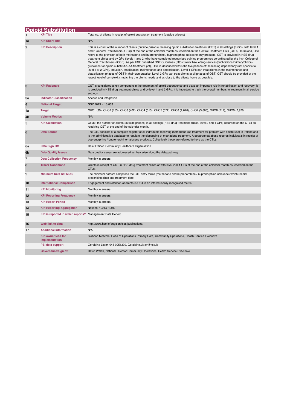|                | <b>Opioid Substitution</b>                               |                                                                                                                                                                                                                                                                                                                                                                                                                                                                                                                                                                                                                                                                                                                                                                                                                                                                                                                                                                                                                                                                                                                                                                                                                                           |  |  |
|----------------|----------------------------------------------------------|-------------------------------------------------------------------------------------------------------------------------------------------------------------------------------------------------------------------------------------------------------------------------------------------------------------------------------------------------------------------------------------------------------------------------------------------------------------------------------------------------------------------------------------------------------------------------------------------------------------------------------------------------------------------------------------------------------------------------------------------------------------------------------------------------------------------------------------------------------------------------------------------------------------------------------------------------------------------------------------------------------------------------------------------------------------------------------------------------------------------------------------------------------------------------------------------------------------------------------------------|--|--|
| $\mathbf{1}$   | <b>KPI Title</b>                                         | Total no. of clients in receipt of opioid substitution treatment (outside prisons)                                                                                                                                                                                                                                                                                                                                                                                                                                                                                                                                                                                                                                                                                                                                                                                                                                                                                                                                                                                                                                                                                                                                                        |  |  |
| 1a             | <b>KPI Short Title</b>                                   | N/A                                                                                                                                                                                                                                                                                                                                                                                                                                                                                                                                                                                                                                                                                                                                                                                                                                                                                                                                                                                                                                                                                                                                                                                                                                       |  |  |
| $\overline{c}$ | <b>KPI Description</b>                                   | This is a count of the number of clients (outside prisons) receiving opioid substitution treatment (OST) in all settings (clinics, with level 1<br>and 2 General Practitioners (GPs)) at the end of the calendar month as recorded on the Central Treatment Lists (CTLs). In Ireland, OST<br>refers to the provision of both methadone and buprenorphine / buprenorphine-naloxone only products. OST is provided in HSE drug<br>treatment clinics and by GPs (levels 1 and 2) who have completed recognised training programmes co-ordinated by the Irish College of<br>General Practitioners (ICGP). As per HSE published OST Guidelines (https://www.hse.ie/eng/services/publications/Primary/clinical-<br>guidelines-for-opioid-substitutio+A4-treatment.pdf), OST is described within the five phases of: assessing dependency (not specific to<br>level 1 or 2 GPs), induction, stabilisation, maintenance and detoxification. Level 1 GPs can treat clients in the maintenance and<br>detoxification phases of OST in their own practice. Level 2 GPs can treat clients at all phases of OST. OST should be provided at the<br>lowest level of complexity, matching the clients needs and as close to the clients home as possible. |  |  |
| 3              | <b>KPI Rationale</b>                                     | OST is considered a key component in the treatment of opioid dependence and plays an important role in rehabilitation and recovery. It<br>is provided in HSE drug treatment clinics and by level 1 and 2 GPs. It is important to track the overall numbers in treatment in all service<br>settings                                                                                                                                                                                                                                                                                                                                                                                                                                                                                                                                                                                                                                                                                                                                                                                                                                                                                                                                        |  |  |
| За             | <b>Indicator Classification</b>                          | Access and Integration                                                                                                                                                                                                                                                                                                                                                                                                                                                                                                                                                                                                                                                                                                                                                                                                                                                                                                                                                                                                                                                                                                                                                                                                                    |  |  |
| 4              | <b>National Target</b>                                   | NSP 2019 - 10,063                                                                                                                                                                                                                                                                                                                                                                                                                                                                                                                                                                                                                                                                                                                                                                                                                                                                                                                                                                                                                                                                                                                                                                                                                         |  |  |
| 4a             | <b>Target</b>                                            | CHO1 (99), CHO2 (153), CHO3 (402), CHO4 (513), CHO5 (572), CHO6 (1,020), CHO7 (3,666), CHO8 (712), CHO9 (2,926)                                                                                                                                                                                                                                                                                                                                                                                                                                                                                                                                                                                                                                                                                                                                                                                                                                                                                                                                                                                                                                                                                                                           |  |  |
| 4b             | <b>Volume Metrics</b>                                    | N/A                                                                                                                                                                                                                                                                                                                                                                                                                                                                                                                                                                                                                                                                                                                                                                                                                                                                                                                                                                                                                                                                                                                                                                                                                                       |  |  |
| 5              | <b>KPI Calculation</b>                                   | Count, the number of clients (outside prisons) in all settings (HSE drug treatment clinics, level 2 and 1 GPs) recorded on the CTLs as<br>receiving OST at the end of the calendar month.                                                                                                                                                                                                                                                                                                                                                                                                                                                                                                                                                                                                                                                                                                                                                                                                                                                                                                                                                                                                                                                 |  |  |
| 6              | <b>Data Source</b>                                       | The CTL consists of a complete register of all individuals receiving methadone (as treatment for problem with opiate use) in Ireland and<br>is the administrative database to regulate the dispensing of methadone treatment. A separate database records individuals in receipt of<br>buprenorphine / buprenorphine-naloxone products. Collectively these are referred to here as the CTLs.                                                                                                                                                                                                                                                                                                                                                                                                                                                                                                                                                                                                                                                                                                                                                                                                                                              |  |  |
| 6a             | Data Sign Off                                            | Chief Officer, Community Healthcare Organisation                                                                                                                                                                                                                                                                                                                                                                                                                                                                                                                                                                                                                                                                                                                                                                                                                                                                                                                                                                                                                                                                                                                                                                                          |  |  |
| 6b             | <b>Data Quality Issues</b>                               | Data quality issues are addressed as they arise along the data pathway.                                                                                                                                                                                                                                                                                                                                                                                                                                                                                                                                                                                                                                                                                                                                                                                                                                                                                                                                                                                                                                                                                                                                                                   |  |  |
| 7              | <b>Data Collection Frequency</b>                         | Monthly in arrears                                                                                                                                                                                                                                                                                                                                                                                                                                                                                                                                                                                                                                                                                                                                                                                                                                                                                                                                                                                                                                                                                                                                                                                                                        |  |  |
| 8              | <b>Tracer Conditions</b>                                 | Clients in receipt of OST in HSE drug treatment clinics or with level 2 or 1 GPs at the end of the calendar month as recorded on the<br>CTLs.                                                                                                                                                                                                                                                                                                                                                                                                                                                                                                                                                                                                                                                                                                                                                                                                                                                                                                                                                                                                                                                                                             |  |  |
| 9              | <b>Minimum Data Set MDS</b>                              | The minimum dataset comprises the CTL entry forms (methadone and buprenorphine / buprenorphine-naloxone) which record<br>prescribing clinic and treatment date.                                                                                                                                                                                                                                                                                                                                                                                                                                                                                                                                                                                                                                                                                                                                                                                                                                                                                                                                                                                                                                                                           |  |  |
| 10             | <b>International Comparison</b>                          | Engagement and retention of clients in OST is an internationally recognised metric.                                                                                                                                                                                                                                                                                                                                                                                                                                                                                                                                                                                                                                                                                                                                                                                                                                                                                                                                                                                                                                                                                                                                                       |  |  |
| 11             | <b>KPI Monitoring</b>                                    | Monthly in arrears                                                                                                                                                                                                                                                                                                                                                                                                                                                                                                                                                                                                                                                                                                                                                                                                                                                                                                                                                                                                                                                                                                                                                                                                                        |  |  |
| 12             | <b>KPI Reporting Frequency</b>                           | Monthly in arrears                                                                                                                                                                                                                                                                                                                                                                                                                                                                                                                                                                                                                                                                                                                                                                                                                                                                                                                                                                                                                                                                                                                                                                                                                        |  |  |
| 13             | <b>KPI Report Period</b>                                 | Monthly in arrears                                                                                                                                                                                                                                                                                                                                                                                                                                                                                                                                                                                                                                                                                                                                                                                                                                                                                                                                                                                                                                                                                                                                                                                                                        |  |  |
| 14             | <b>KPI Reporting Aggregation</b>                         | National / CHO / LHO                                                                                                                                                                                                                                                                                                                                                                                                                                                                                                                                                                                                                                                                                                                                                                                                                                                                                                                                                                                                                                                                                                                                                                                                                      |  |  |
| 15             | KPI is reported in which reports? Management Data Report |                                                                                                                                                                                                                                                                                                                                                                                                                                                                                                                                                                                                                                                                                                                                                                                                                                                                                                                                                                                                                                                                                                                                                                                                                                           |  |  |
| 16             | Web link to data                                         | http://www.hse.ie/eng/services/publications/                                                                                                                                                                                                                                                                                                                                                                                                                                                                                                                                                                                                                                                                                                                                                                                                                                                                                                                                                                                                                                                                                                                                                                                              |  |  |
| 17             | <b>Additional Information</b>                            | N/A                                                                                                                                                                                                                                                                                                                                                                                                                                                                                                                                                                                                                                                                                                                                                                                                                                                                                                                                                                                                                                                                                                                                                                                                                                       |  |  |
|                | <b>KPI owner/lead for</b><br>implementation              | Siobhán McArdle, Head of Operations Primary Care, Community Operations, Health Service Executive                                                                                                                                                                                                                                                                                                                                                                                                                                                                                                                                                                                                                                                                                                                                                                                                                                                                                                                                                                                                                                                                                                                                          |  |  |
|                | PBI data support                                         | Geraldine Littler, 046 9251330, Geraldine.Littler@hse.ie                                                                                                                                                                                                                                                                                                                                                                                                                                                                                                                                                                                                                                                                                                                                                                                                                                                                                                                                                                                                                                                                                                                                                                                  |  |  |
|                | Governance/sign off                                      | David Walsh, National Director Community Operations, Health Service Executive                                                                                                                                                                                                                                                                                                                                                                                                                                                                                                                                                                                                                                                                                                                                                                                                                                                                                                                                                                                                                                                                                                                                                             |  |  |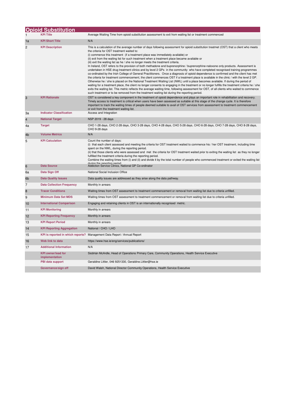|                | <b>Opioid Substitution</b>                  |                                                                                                                                                                                                                                                                                                                                                                                                                                                                                                                                                                                                                                                                                                                                                                                                                                                                                                                                                                                                                                                                                                                                                                                                                                                                                                                                                                                                                                                                                                                                                                |
|----------------|---------------------------------------------|----------------------------------------------------------------------------------------------------------------------------------------------------------------------------------------------------------------------------------------------------------------------------------------------------------------------------------------------------------------------------------------------------------------------------------------------------------------------------------------------------------------------------------------------------------------------------------------------------------------------------------------------------------------------------------------------------------------------------------------------------------------------------------------------------------------------------------------------------------------------------------------------------------------------------------------------------------------------------------------------------------------------------------------------------------------------------------------------------------------------------------------------------------------------------------------------------------------------------------------------------------------------------------------------------------------------------------------------------------------------------------------------------------------------------------------------------------------------------------------------------------------------------------------------------------------|
| $\mathbf{1}$   | <b>KPI Title</b>                            | Average Waiting Time from opioid substitution assessment to exit from waiting list or treatment commenced                                                                                                                                                                                                                                                                                                                                                                                                                                                                                                                                                                                                                                                                                                                                                                                                                                                                                                                                                                                                                                                                                                                                                                                                                                                                                                                                                                                                                                                      |
| 1a             | <b>KPI Short Title</b>                      | N/A                                                                                                                                                                                                                                                                                                                                                                                                                                                                                                                                                                                                                                                                                                                                                                                                                                                                                                                                                                                                                                                                                                                                                                                                                                                                                                                                                                                                                                                                                                                                                            |
| 2              | <b>KPI Description</b>                      | This is a calculation of the average number of days following assessment for opioid substitution treatmet (OST) that a client who meets<br>the criteria for OST treatment waited to:<br>(i) commence this treatment (if a treatment place was immediately available) or<br>(ii) exit from the waiting list for such treatment when a treatment place became available or<br>(iii) exit the waiting list as he / she no longer meets the treatment criteria.<br>In Ireland, OST refers to the provision of both methadone and buprenorphine / buprenorphine-naloxone only products. Assessment is<br>undertaken in HSE drug treatment clinics and by level 2 GPs in the community who have completed recognised training programmes<br>co-ordinated by the Irish College of General Practitioners. Once a diagnosis of opioid dependence is confirmed and the client has met<br>the criteria for treatment commencement, the client commences OST if a treatment place is available in the clinic / with the level 2 GP.<br>Otherwise he / she is placed on the National Treatment Waiting List (NWL) until a place becomes available. If during the period of<br>waiting for a treatment place, the client no longer consents to engaging in the treatment or no longer fulfills the treatment criteria he / she<br>exits the waiting list. This metric reflects the average waiting time, following assessment for OST, of all clients who waited to commence<br>such treatment or to be removed from the treatment waiting list during the reporting period. |
| 3              | <b>KPI Rationale</b>                        | OST is considered a key component in the treatment of opioid dependence and plays an important role in rehabilitation and recovery.<br>Timely access to treatment is critical when users have been assessed as suitable at this stage of the change cycle. It is therefore<br>important to track the waiting times of people deemed suitable to avail of OST services from assessment to treatment commencement<br>or exit from the treatment waiting list.                                                                                                                                                                                                                                                                                                                                                                                                                                                                                                                                                                                                                                                                                                                                                                                                                                                                                                                                                                                                                                                                                                    |
| 3a             | <b>Indicator Classification</b>             | Access and Integration                                                                                                                                                                                                                                                                                                                                                                                                                                                                                                                                                                                                                                                                                                                                                                                                                                                                                                                                                                                                                                                                                                                                                                                                                                                                                                                                                                                                                                                                                                                                         |
| 4              | <b>National Target</b>                      | NSP 2019 - 28 days                                                                                                                                                                                                                                                                                                                                                                                                                                                                                                                                                                                                                                                                                                                                                                                                                                                                                                                                                                                                                                                                                                                                                                                                                                                                                                                                                                                                                                                                                                                                             |
| 4a             | <b>Target</b>                               | CHO 1-28 days, CHO 2-28 days, CHO 3-28 days, CHO 4-28 days, CHO 5-28 days, CHO 6-28 days, CHO 7-28 days, CHO 8-28 days,<br>CHO 9-28 days                                                                                                                                                                                                                                                                                                                                                                                                                                                                                                                                                                                                                                                                                                                                                                                                                                                                                                                                                                                                                                                                                                                                                                                                                                                                                                                                                                                                                       |
| 4b             | <b>Volume Metrics</b>                       | N/A                                                                                                                                                                                                                                                                                                                                                                                                                                                                                                                                                                                                                                                                                                                                                                                                                                                                                                                                                                                                                                                                                                                                                                                                                                                                                                                                                                                                                                                                                                                                                            |
| 5              | <b>KPI Calculation</b>                      | Count the number of days:<br>(i) that each client assessed and meeting the criteria for OST treatment waited to commence his / her OST treatment, including time<br>spent on the NWL, during the reporting period.<br>(ii) that those clients who were assessed and met the criteria for OST treatment waited prior to exiting the waiting list as they no longer<br>fulfilled the treatment criteria during the reporting period.<br>Combine the waiting times from (i) and (ii) and divide it by the total number of people who commenced treatment or exited the waiting list<br>during the renorting neriod                                                                                                                                                                                                                                                                                                                                                                                                                                                                                                                                                                                                                                                                                                                                                                                                                                                                                                                                                |
| 6              | <b>Data Source</b>                          | Addiction Service Clinics, National GP Co-ordinator                                                                                                                                                                                                                                                                                                                                                                                                                                                                                                                                                                                                                                                                                                                                                                                                                                                                                                                                                                                                                                                                                                                                                                                                                                                                                                                                                                                                                                                                                                            |
| 6a             | Data Sign Off                               | National Social Inclusion Office                                                                                                                                                                                                                                                                                                                                                                                                                                                                                                                                                                                                                                                                                                                                                                                                                                                                                                                                                                                                                                                                                                                                                                                                                                                                                                                                                                                                                                                                                                                               |
| 6b             | <b>Data Quality Issues</b>                  | Data quality issues are addressed as they arise along the data pathway.                                                                                                                                                                                                                                                                                                                                                                                                                                                                                                                                                                                                                                                                                                                                                                                                                                                                                                                                                                                                                                                                                                                                                                                                                                                                                                                                                                                                                                                                                        |
| $\overline{7}$ | <b>Data Collection Frequency</b>            | Monthly in arrears                                                                                                                                                                                                                                                                                                                                                                                                                                                                                                                                                                                                                                                                                                                                                                                                                                                                                                                                                                                                                                                                                                                                                                                                                                                                                                                                                                                                                                                                                                                                             |
| 8              | <b>Tracer Conditions</b>                    | Waiting times from OST assessment to treatment commencement or removal from waiting list due to criteria unfilled.                                                                                                                                                                                                                                                                                                                                                                                                                                                                                                                                                                                                                                                                                                                                                                                                                                                                                                                                                                                                                                                                                                                                                                                                                                                                                                                                                                                                                                             |
| 9              | <b>Minimum Data Set MDS</b>                 | Waiting times from OST assessment to treatment commencement or removal from waiting list due to criteria unfilled.                                                                                                                                                                                                                                                                                                                                                                                                                                                                                                                                                                                                                                                                                                                                                                                                                                                                                                                                                                                                                                                                                                                                                                                                                                                                                                                                                                                                                                             |
| 10             | <b>International Comparison</b>             | Engaging and retaining clients in OST is an internationally recognised metric.                                                                                                                                                                                                                                                                                                                                                                                                                                                                                                                                                                                                                                                                                                                                                                                                                                                                                                                                                                                                                                                                                                                                                                                                                                                                                                                                                                                                                                                                                 |
| 11             | <b>KPI Monitoring</b>                       | Monthly in arrears                                                                                                                                                                                                                                                                                                                                                                                                                                                                                                                                                                                                                                                                                                                                                                                                                                                                                                                                                                                                                                                                                                                                                                                                                                                                                                                                                                                                                                                                                                                                             |
| 12             | <b>KPI Reporting Frequency</b>              | Monthly in arrears                                                                                                                                                                                                                                                                                                                                                                                                                                                                                                                                                                                                                                                                                                                                                                                                                                                                                                                                                                                                                                                                                                                                                                                                                                                                                                                                                                                                                                                                                                                                             |
| 13             | <b>KPI Report Period</b>                    | Monthly in arrears                                                                                                                                                                                                                                                                                                                                                                                                                                                                                                                                                                                                                                                                                                                                                                                                                                                                                                                                                                                                                                                                                                                                                                                                                                                                                                                                                                                                                                                                                                                                             |
| 14             | <b>KPI Reporting Aggregation</b>            | National / CHO / LHO                                                                                                                                                                                                                                                                                                                                                                                                                                                                                                                                                                                                                                                                                                                                                                                                                                                                                                                                                                                                                                                                                                                                                                                                                                                                                                                                                                                                                                                                                                                                           |
| 15             |                                             | KPI is reported in which reports? Management Data Report / Annual Report                                                                                                                                                                                                                                                                                                                                                                                                                                                                                                                                                                                                                                                                                                                                                                                                                                                                                                                                                                                                                                                                                                                                                                                                                                                                                                                                                                                                                                                                                       |
| 16             | Web link to data                            | https://www.hse.ie/eng/services/publications/                                                                                                                                                                                                                                                                                                                                                                                                                                                                                                                                                                                                                                                                                                                                                                                                                                                                                                                                                                                                                                                                                                                                                                                                                                                                                                                                                                                                                                                                                                                  |
| 17             | <b>Additional Information</b>               | N/A                                                                                                                                                                                                                                                                                                                                                                                                                                                                                                                                                                                                                                                                                                                                                                                                                                                                                                                                                                                                                                                                                                                                                                                                                                                                                                                                                                                                                                                                                                                                                            |
|                | <b>KPI</b> owner/lead for<br>implementation | Siobhán McArdle, Head of Operations Primary Care, Community Operations, Health Service Executive                                                                                                                                                                                                                                                                                                                                                                                                                                                                                                                                                                                                                                                                                                                                                                                                                                                                                                                                                                                                                                                                                                                                                                                                                                                                                                                                                                                                                                                               |
|                | PBI data support                            | Geraldine Littler, 046 9251330, Geraldine.Littler@hse.ie                                                                                                                                                                                                                                                                                                                                                                                                                                                                                                                                                                                                                                                                                                                                                                                                                                                                                                                                                                                                                                                                                                                                                                                                                                                                                                                                                                                                                                                                                                       |
|                | Governance/sign off                         | David Walsh, National Director Community Operations, Health Service Executive                                                                                                                                                                                                                                                                                                                                                                                                                                                                                                                                                                                                                                                                                                                                                                                                                                                                                                                                                                                                                                                                                                                                                                                                                                                                                                                                                                                                                                                                                  |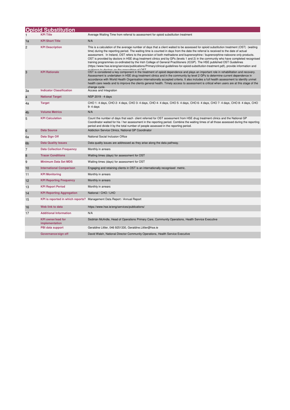|                | <b>Opioid Substitution</b>                  |                                                                                                                                                                                                                                                                                                                                                                                                                                                                                                                                                                                                                                                                                                                                                                                                                                                                        |
|----------------|---------------------------------------------|------------------------------------------------------------------------------------------------------------------------------------------------------------------------------------------------------------------------------------------------------------------------------------------------------------------------------------------------------------------------------------------------------------------------------------------------------------------------------------------------------------------------------------------------------------------------------------------------------------------------------------------------------------------------------------------------------------------------------------------------------------------------------------------------------------------------------------------------------------------------|
|                | <b>KPI Title</b>                            | Average Waiting Time from referral to assessment for opioid substitution treatment                                                                                                                                                                                                                                                                                                                                                                                                                                                                                                                                                                                                                                                                                                                                                                                     |
| 1a             | <b>KPI Short Title</b>                      | N/A                                                                                                                                                                                                                                                                                                                                                                                                                                                                                                                                                                                                                                                                                                                                                                                                                                                                    |
| 2              | <b>KPI Description</b>                      | This is a calculation of the average number of days that a client waited to be assessed for opioid substitution treatment (OST) (waiting<br>time) during the reporting period. The waiting time is counted in days from the date the referral is received to the date of actual<br>assessment. In Ireland, OST refers to the provision of both methadone and buprenorphine / buprenorphine-naloxone only products.<br>OST is provided by doctors in HSE drug treatment clinics and by GPs (levels 1 and 2) in the community who have completed recognised<br>training programmes co-ordinated by the Irish College of General Practitioners (ICGP). The HSE published OST Guidelines<br>(https://www.hse.ie/eng/services/publications/Primary/clinical-guidelines-for-opioid-substitution-treatment.pdf), provide information and<br>doctors on the proportions of OCT |
| 3              | <b>KPI Rationale</b>                        | OST is considered a key component in the treatment of opioid dependence and plays an important role in rehabilitation and recovery.<br>Assessment is undertaken in HSE drug treatment clinics and in the community by level 2 GPs to determine current dependence in<br>accordance with World Health Organisation internationally accepted criteria. It also includes a full health assessment to identify unmet<br>health care needs and to improve the clients general health. Timely access to assessment is critical when users are at this stage of the<br>change cycle.                                                                                                                                                                                                                                                                                          |
| Зa             | <b>Indicator Classification</b>             | Access and Integration                                                                                                                                                                                                                                                                                                                                                                                                                                                                                                                                                                                                                                                                                                                                                                                                                                                 |
| $\overline{4}$ | <b>National Target</b>                      | NSP 2019 - 4 days                                                                                                                                                                                                                                                                                                                                                                                                                                                                                                                                                                                                                                                                                                                                                                                                                                                      |
| 4a             | <b>Target</b>                               | CHO 1-4 days, CHO 2-4 days, CHO 3-4 days, CHO 4-4 days, CHO 5-4 days, CHO 6-4 days, CHO 7-4 days, CHO 8-4 days, CHO<br>$9 - 4$ days                                                                                                                                                                                                                                                                                                                                                                                                                                                                                                                                                                                                                                                                                                                                    |
| 4b             | <b>Volume Metrics</b>                       | N/A                                                                                                                                                                                                                                                                                                                                                                                                                                                                                                                                                                                                                                                                                                                                                                                                                                                                    |
| 5              | <b>KPI Calculation</b>                      | Count the number of days that each client referred for OST assessment from HSE drug treatment clinics and the National GP<br>Coordinator waited for his / her assessment in the reporting period. Combine the waiting times of all those assessed during the reporting<br>period and divide it by the total number of people assessed in the reporting period.                                                                                                                                                                                                                                                                                                                                                                                                                                                                                                         |
| 6              | <b>Data Source</b>                          | Addiction Service Clinics, National GP Coordinator                                                                                                                                                                                                                                                                                                                                                                                                                                                                                                                                                                                                                                                                                                                                                                                                                     |
| 6a             | Data Sign Off                               | National Social Inclusion Office                                                                                                                                                                                                                                                                                                                                                                                                                                                                                                                                                                                                                                                                                                                                                                                                                                       |
| 6 <sub>b</sub> | <b>Data Quality Issues</b>                  | Data quality issues are addressed as they arise along the data pathway.                                                                                                                                                                                                                                                                                                                                                                                                                                                                                                                                                                                                                                                                                                                                                                                                |
| 7              | <b>Data Collection Frequency</b>            | Monthly in arrears                                                                                                                                                                                                                                                                                                                                                                                                                                                                                                                                                                                                                                                                                                                                                                                                                                                     |
| 8              | <b>Tracer Conditions</b>                    | Waiting times (days) for assessment for OST                                                                                                                                                                                                                                                                                                                                                                                                                                                                                                                                                                                                                                                                                                                                                                                                                            |
| 9              | <b>Minimum Data Set MDS</b>                 | Waiting times (days) for assessment for OST                                                                                                                                                                                                                                                                                                                                                                                                                                                                                                                                                                                                                                                                                                                                                                                                                            |
| 10             | <b>International Comparison</b>             | Engaging and retaining clients in OST is an internationally recognised metric.                                                                                                                                                                                                                                                                                                                                                                                                                                                                                                                                                                                                                                                                                                                                                                                         |
| 11             | <b>KPI Monitoring</b>                       | Monthly in arrears                                                                                                                                                                                                                                                                                                                                                                                                                                                                                                                                                                                                                                                                                                                                                                                                                                                     |
| 12             | <b>KPI Reporting Frequency</b>              | Monthly in arrears                                                                                                                                                                                                                                                                                                                                                                                                                                                                                                                                                                                                                                                                                                                                                                                                                                                     |
| 13             | <b>KPI Report Period</b>                    | Monthly in arrears                                                                                                                                                                                                                                                                                                                                                                                                                                                                                                                                                                                                                                                                                                                                                                                                                                                     |
| 14             | <b>KPI Reporting Aggregation</b>            | National / CHO / LHO                                                                                                                                                                                                                                                                                                                                                                                                                                                                                                                                                                                                                                                                                                                                                                                                                                                   |
| 15             |                                             | KPI is reported in which reports? Management Data Report / Annual Report                                                                                                                                                                                                                                                                                                                                                                                                                                                                                                                                                                                                                                                                                                                                                                                               |
| 16             | Web link to data                            | https://www.hse.ie/eng/services/publications/                                                                                                                                                                                                                                                                                                                                                                                                                                                                                                                                                                                                                                                                                                                                                                                                                          |
| 17             | <b>Additional Information</b>               | N/A                                                                                                                                                                                                                                                                                                                                                                                                                                                                                                                                                                                                                                                                                                                                                                                                                                                                    |
|                | <b>KPI owner/lead for</b><br>implementation | Siobhán McArdle, Head of Operations Primary Care, Community Operations, Health Service Executive                                                                                                                                                                                                                                                                                                                                                                                                                                                                                                                                                                                                                                                                                                                                                                       |
|                | <b>PBI data support</b>                     | Geraldine Littler, 046 9251330, Geraldine.Littler@hse.ie                                                                                                                                                                                                                                                                                                                                                                                                                                                                                                                                                                                                                                                                                                                                                                                                               |
|                | Governance/sign off                         | David Walsh, National Director Community Operations, Health Service Executive                                                                                                                                                                                                                                                                                                                                                                                                                                                                                                                                                                                                                                                                                                                                                                                          |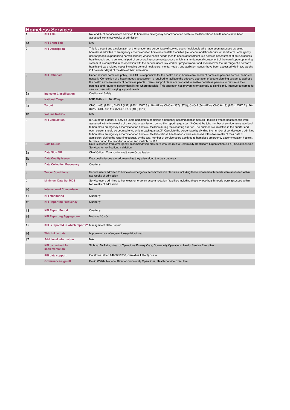|    | <b>Homeless Services</b>                                 |                                                                                                                                                                                                                                                                                                                                                                                                                                                                                                                                                                                                                                                                                                                                                                                                                                                                                                      |
|----|----------------------------------------------------------|------------------------------------------------------------------------------------------------------------------------------------------------------------------------------------------------------------------------------------------------------------------------------------------------------------------------------------------------------------------------------------------------------------------------------------------------------------------------------------------------------------------------------------------------------------------------------------------------------------------------------------------------------------------------------------------------------------------------------------------------------------------------------------------------------------------------------------------------------------------------------------------------------|
|    | <b>KPI Title</b>                                         | No. and % of service users admitted to homeless emergency accommodation hostels / facilities whose health needs have been<br>assessed within two weeks of admission                                                                                                                                                                                                                                                                                                                                                                                                                                                                                                                                                                                                                                                                                                                                  |
| 1a | <b>KPI Short Title</b>                                   | N/A                                                                                                                                                                                                                                                                                                                                                                                                                                                                                                                                                                                                                                                                                                                                                                                                                                                                                                  |
| 2  | <b>KPI Description</b>                                   | This is a count and a calculation of the number and percentage of service users (individuals who have been assessed as being<br>homeless) admitted to emergency accommodation homeless hostels / facilities (i.e. accommodation facility for short term / emergency<br>use for people experiencing homelessness) whose health needs (health needs assessment is a detailed assessment of an individual's<br>health needs and is an integral part of an overall assessement process which is a fundamental component of the care/support planning<br>system. It is completed in co-operation with the service users key worker / project worker and should cover the full range of a person's<br>health and care related needs including general healthcare, mental health, and addiction issues) have been assessed within two weeks<br>(14 calendar days) of the date of their admission.           |
| 3  | <b>KPI Rationale</b>                                     | Under national homeless policy, the HSE is responsible for the health and in house care needs of homeless persons across the hostel<br>network. Completion of a health needs assessment is required to facilitate the effective operation of a care planning system to address<br>the health and care needs of homeless people. Care / support plans are prepared to enable homeless persons to maximise their<br>potential and return to independent living, where possible. This approach has proven internationally to significantly improve outcomes for<br>service users with varying support needs.                                                                                                                                                                                                                                                                                            |
| За | <b>Indicator Classification</b>                          | Quality and Safety                                                                                                                                                                                                                                                                                                                                                                                                                                                                                                                                                                                                                                                                                                                                                                                                                                                                                   |
| 4  | <b>National Target</b>                                   | NSP 2019 - 1,126 (87%)                                                                                                                                                                                                                                                                                                                                                                                                                                                                                                                                                                                                                                                                                                                                                                                                                                                                               |
| 4a | <b>Target</b>                                            | CHO 1 (43) (87%), CHO 2 (132) (87%), CHO 3 (146) (87%), CHO 4 (337) (87%), CHO 5 (54) (87%), CHO 6 (18) (87%), CHO 7 (176)<br>(87%), CHO 8 (111) (87%), CHO9 (109) (87%)                                                                                                                                                                                                                                                                                                                                                                                                                                                                                                                                                                                                                                                                                                                             |
| 4b | <b>Volume Metrics</b>                                    | N/A                                                                                                                                                                                                                                                                                                                                                                                                                                                                                                                                                                                                                                                                                                                                                                                                                                                                                                  |
| 5  | <b>KPI Calculation</b>                                   | (i) Count the number of service users admitted to homeless emergency accommodation hostels / facilities whose health needs were<br>assessed within two weeks of their date of admission, during the reporting quarter. (ii) Count the total number of service users admitted<br>to homeless emergency accommodation hostels / facilities during the reporting quarter. The number is cumulative in the quarter and<br>each person should be counted once only in each quarter. (iii) Calculate the percentage by dividing the number of service users admitted<br>to homeless emergency accommodation hostels / facilities whose health needs were assessed within two weeks of their date of<br>admission, during the reporting quarter, by the total number of service users admitted to homeless emergency accommodation hostels /<br>facilities during the reporting quarter and multiply by 100 |
| 6  | <b>Data Source</b>                                       | Data is sourced from emergency accommodation providers who return it to Community Healthcare Organisation (CHO) Social Inclusion<br>Services for verification / validation.                                                                                                                                                                                                                                                                                                                                                                                                                                                                                                                                                                                                                                                                                                                          |
| 6а | Data Sign Off                                            | Chief Officer, Community Healthcare Organisation                                                                                                                                                                                                                                                                                                                                                                                                                                                                                                                                                                                                                                                                                                                                                                                                                                                     |
| 6b | <b>Data Quality Issues</b>                               | Data quality issues are addressed as they arise along the data pathway.                                                                                                                                                                                                                                                                                                                                                                                                                                                                                                                                                                                                                                                                                                                                                                                                                              |
| 7  | <b>Data Collection Frequency</b>                         | Quarterly                                                                                                                                                                                                                                                                                                                                                                                                                                                                                                                                                                                                                                                                                                                                                                                                                                                                                            |
| 8  | <b>Tracer Conditions</b>                                 | Service users admitted to homeless emergency accommodation / facilities including those whose health needs were assessed within<br>two weeks of admission                                                                                                                                                                                                                                                                                                                                                                                                                                                                                                                                                                                                                                                                                                                                            |
| 9  | <b>Minimum Data Set MDS</b>                              | Service users admitted to homeless emergency accommodation / facilities including those whose health needs were assessed within<br>two weeks of admission                                                                                                                                                                                                                                                                                                                                                                                                                                                                                                                                                                                                                                                                                                                                            |
| 10 | <b>International Comparison</b>                          | No                                                                                                                                                                                                                                                                                                                                                                                                                                                                                                                                                                                                                                                                                                                                                                                                                                                                                                   |
| 11 | <b>KPI Monitoring</b>                                    | Quarterly                                                                                                                                                                                                                                                                                                                                                                                                                                                                                                                                                                                                                                                                                                                                                                                                                                                                                            |
| 12 | <b>KPI Reporting Frequency</b>                           | Quarterly                                                                                                                                                                                                                                                                                                                                                                                                                                                                                                                                                                                                                                                                                                                                                                                                                                                                                            |
| 13 | <b>KPI Report Period</b>                                 | Quarterly                                                                                                                                                                                                                                                                                                                                                                                                                                                                                                                                                                                                                                                                                                                                                                                                                                                                                            |
| 14 | <b>KPI Reporting Aggregation</b>                         | National / CHO                                                                                                                                                                                                                                                                                                                                                                                                                                                                                                                                                                                                                                                                                                                                                                                                                                                                                       |
| 15 | KPI is reported in which reports? Management Data Report |                                                                                                                                                                                                                                                                                                                                                                                                                                                                                                                                                                                                                                                                                                                                                                                                                                                                                                      |
| 16 | Web link to data                                         | http://www.hse.ie/eng/services/publications/                                                                                                                                                                                                                                                                                                                                                                                                                                                                                                                                                                                                                                                                                                                                                                                                                                                         |
| 17 | <b>Additional Information</b>                            | N/A                                                                                                                                                                                                                                                                                                                                                                                                                                                                                                                                                                                                                                                                                                                                                                                                                                                                                                  |
|    | <b>KPI</b> owner/lead for<br>implementation              | Siobhán McArdle, Head of Operations Primary Care, Community Operations, Health Service Executive                                                                                                                                                                                                                                                                                                                                                                                                                                                                                                                                                                                                                                                                                                                                                                                                     |
|    | PBI data support                                         | Geraldine Littler, 046 9251330, Geraldine.Littler@hse.ie                                                                                                                                                                                                                                                                                                                                                                                                                                                                                                                                                                                                                                                                                                                                                                                                                                             |
|    | Governance/sign off                                      | David Walsh, National Director Community Operations, Health Service Executive                                                                                                                                                                                                                                                                                                                                                                                                                                                                                                                                                                                                                                                                                                                                                                                                                        |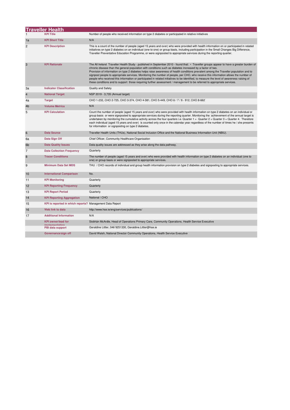|                | <b>Traveller Health</b>                                  |                                                                                                                                                                                                                                                                                                                                                                                                                                                                                                                                                                                                                                                                                                                                                                                                                   |
|----------------|----------------------------------------------------------|-------------------------------------------------------------------------------------------------------------------------------------------------------------------------------------------------------------------------------------------------------------------------------------------------------------------------------------------------------------------------------------------------------------------------------------------------------------------------------------------------------------------------------------------------------------------------------------------------------------------------------------------------------------------------------------------------------------------------------------------------------------------------------------------------------------------|
|                | KPI Title                                                | Number of people who received information on type 2 diabetes or participated in relative initiatives                                                                                                                                                                                                                                                                                                                                                                                                                                                                                                                                                                                                                                                                                                              |
| 1a             | <b>KPI Short Title</b>                                   | N/A                                                                                                                                                                                                                                                                                                                                                                                                                                                                                                                                                                                                                                                                                                                                                                                                               |
| $\overline{c}$ | <b>KPI Description</b>                                   | This is a count of the number of people (aged 15 years and over) who were provided with health information on or participated in related<br>initiatives on type 2 diabetes on an individual (one to one) or group basis, including participation in the Small Changes Big Difference,<br>Traveller Preventative Education Programme, or were signposted to appropriate services during the reporting quarter.                                                                                                                                                                                                                                                                                                                                                                                                     |
| 3              | <b>KPI Rationale</b>                                     | The All Ireland Traveller Health Study - published in September 2010 - found that: • Traveller groups appear to have a greater burden of<br>chronic disease than the general population with conditions such as diabetes increased by a factor of two.<br>Provision of information on type 2 diabetes helps raise awareness of health conditions prevalent among the Traveller population and to<br>signpost people to appropriate services. Monitoring the number of people, per CHO, who receive this information allows the number of<br>people who received this information or participated in related initiatives to be identified, to measure the level of awareness raising of<br>these conditions and to support those requiring further assessment / management to be referred to appropriate services. |
| Зa             | <b>Indicator Classification</b>                          | Quality and Safety                                                                                                                                                                                                                                                                                                                                                                                                                                                                                                                                                                                                                                                                                                                                                                                                |
| $\overline{4}$ | <b>National Target</b>                                   | NSP 2019 - 3,735 (Annual target)                                                                                                                                                                                                                                                                                                                                                                                                                                                                                                                                                                                                                                                                                                                                                                                  |
| 4a             | <b>Target</b>                                            | CHO 1-232, CHO 2-725, CHO 3-374, CHO 4-381, CHO 5-449, CHO 6 / 7 / 9 - 912, CHO 8-662                                                                                                                                                                                                                                                                                                                                                                                                                                                                                                                                                                                                                                                                                                                             |
| 4 <sub>b</sub> | <b>Volume Metrics</b>                                    | N/A                                                                                                                                                                                                                                                                                                                                                                                                                                                                                                                                                                                                                                                                                                                                                                                                               |
| 5              | <b>KPI Calculation</b>                                   | Count the number of people (aged 15 years and over) who were provided with health information on type 2 diabetes on an individual or<br>group basis or were signposted to appropriate services during the reporting quarter. Monitoring the achievement of the annual target is<br>undertaken by monitoring the cumulative activity across the four quarters i.e. Quarter $1 +$ Quarter $2 +$ Quarter $3 +$ Quarter 4. Therefore<br>each individual (aged 15 years and over) is counted only once in the calendar year regardless of the number of times he / she presents<br>for information or signposting on type 2 diabetes.                                                                                                                                                                                  |
| 6              | <b>Data Source</b>                                       | Traveller Health Units (THUs), National Social Inclusion Office and the National Business Information Unit (NBIU).                                                                                                                                                                                                                                                                                                                                                                                                                                                                                                                                                                                                                                                                                                |
| 6a             | Data Sign Off                                            | Chief Officer, Community Healthcare Organisation                                                                                                                                                                                                                                                                                                                                                                                                                                                                                                                                                                                                                                                                                                                                                                  |
| 6 <sub>b</sub> | <b>Data Quality Issues</b>                               | Data quality issues are addressed as they arise along the data pathway.                                                                                                                                                                                                                                                                                                                                                                                                                                                                                                                                                                                                                                                                                                                                           |
| $\overline{7}$ | <b>Data Collection Frequency</b>                         | Quarterly                                                                                                                                                                                                                                                                                                                                                                                                                                                                                                                                                                                                                                                                                                                                                                                                         |
| 8              | <b>Tracer Conditions</b>                                 | The number of people (aged 15 years and over) who were provided with health information on type 2 diabetes on an individual (one to<br>one) or group basis or were signposted to appropriate services.                                                                                                                                                                                                                                                                                                                                                                                                                                                                                                                                                                                                            |
| 9              | <b>Minimum Data Set MDS</b>                              | THU / CHO records of individual and group health information provision on type 2 diabetes and signposting to appropriate services.                                                                                                                                                                                                                                                                                                                                                                                                                                                                                                                                                                                                                                                                                |
| 10             | <b>International Comparison</b>                          | No.                                                                                                                                                                                                                                                                                                                                                                                                                                                                                                                                                                                                                                                                                                                                                                                                               |
| 11             | <b>KPI Monitoring</b>                                    | Quarterly                                                                                                                                                                                                                                                                                                                                                                                                                                                                                                                                                                                                                                                                                                                                                                                                         |
| 12             | <b>KPI Reporting Frequency</b>                           | Quarterly                                                                                                                                                                                                                                                                                                                                                                                                                                                                                                                                                                                                                                                                                                                                                                                                         |
| 13             | <b>KPI Report Period</b>                                 | Quarterly                                                                                                                                                                                                                                                                                                                                                                                                                                                                                                                                                                                                                                                                                                                                                                                                         |
| 14             | <b>KPI Reporting Aggregation</b>                         | National / CHO                                                                                                                                                                                                                                                                                                                                                                                                                                                                                                                                                                                                                                                                                                                                                                                                    |
| 15             | KPI is reported in which reports? Management Data Report |                                                                                                                                                                                                                                                                                                                                                                                                                                                                                                                                                                                                                                                                                                                                                                                                                   |
| 16             | Web link to data                                         | http://www.hse.ie/eng/services/publications/                                                                                                                                                                                                                                                                                                                                                                                                                                                                                                                                                                                                                                                                                                                                                                      |
| 17             | <b>Additional Information</b>                            | N/A                                                                                                                                                                                                                                                                                                                                                                                                                                                                                                                                                                                                                                                                                                                                                                                                               |
|                | <b>KPI</b> owner/lead for<br>implementation              | Siobhán McArdle, Head of Operations Primary Care, Community Operations, Health Service Executive                                                                                                                                                                                                                                                                                                                                                                                                                                                                                                                                                                                                                                                                                                                  |
|                | PBI data support                                         | Geraldine Littler, 046 9251330, Geraldine.Littler@hse.ie                                                                                                                                                                                                                                                                                                                                                                                                                                                                                                                                                                                                                                                                                                                                                          |
|                | Governance/sign off                                      | David Walsh, National Director Community Operations, Health Service Executive                                                                                                                                                                                                                                                                                                                                                                                                                                                                                                                                                                                                                                                                                                                                     |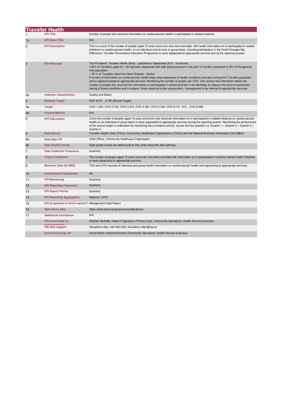|                | <b>Traveller Health</b>                                  |                                                                                                                                                                                                                                                                                                                                                                                                                                                                                                                                                                                                                                                                                                                                                                                                                                                                        |
|----------------|----------------------------------------------------------|------------------------------------------------------------------------------------------------------------------------------------------------------------------------------------------------------------------------------------------------------------------------------------------------------------------------------------------------------------------------------------------------------------------------------------------------------------------------------------------------------------------------------------------------------------------------------------------------------------------------------------------------------------------------------------------------------------------------------------------------------------------------------------------------------------------------------------------------------------------------|
|                | <b>KPI Title</b>                                         | Number of people who received information on cardiovascular health or participated in related intiatives                                                                                                                                                                                                                                                                                                                                                                                                                                                                                                                                                                                                                                                                                                                                                               |
| 1a             | <b>KPI Short Title</b>                                   | N/A                                                                                                                                                                                                                                                                                                                                                                                                                                                                                                                                                                                                                                                                                                                                                                                                                                                                    |
| 2              | <b>KPI Description</b>                                   | This is a count of the number of people (aged 15 years and over) who were provided with health information on or participated in related<br>initiatives on cardiovascular health, on an individual (one to one) or group basis including participation in the Small Changes Big<br>Difference, Traveller Preventative Education Programme or were signposted to appropriate services during the reporting quarter.                                                                                                                                                                                                                                                                                                                                                                                                                                                     |
| 3              | <b>KPI Rationale</b>                                     | The All Ireland Traveller Health Study - published in September 2010 - found that:<br>• 52% of Travellers aged 40 – 60 had been diagnosed with high blood pressure in the past 12 months compared to 35% of the general<br>Irish population.<br>• 25 % of Travellers died from Heart Disease / Stroke.<br>Provision of information on cardiovascular health helps raise awareness of health conditions prevalent among the Traveller population<br>and to signpost people to appropriate services. Monitoring the number of people, per CHO, who receive this information allows the<br>number of people who received this information or participated in related activities to be identified, to measure the level of awareness<br>raising of these conditions and to support those requiring further assessment / management to be referred to appropriate services. |
| Зa             | <b>Indicator Classification</b>                          | Quality and Safety                                                                                                                                                                                                                                                                                                                                                                                                                                                                                                                                                                                                                                                                                                                                                                                                                                                     |
| $\overline{4}$ | <b>National Target</b>                                   | NSP 2019 - 3,735 (Annual Target)                                                                                                                                                                                                                                                                                                                                                                                                                                                                                                                                                                                                                                                                                                                                                                                                                                       |
| 4a             | <b>Target</b>                                            | CHO 1-232, CHO 2-725, CHO 3-374, CHO 4-381, CHO 5-449, CHO 6/7/9 - 912, , CHO 8-662                                                                                                                                                                                                                                                                                                                                                                                                                                                                                                                                                                                                                                                                                                                                                                                    |
| 4 <sub>b</sub> | <b>Volume Metrics</b>                                    | N/A                                                                                                                                                                                                                                                                                                                                                                                                                                                                                                                                                                                                                                                                                                                                                                                                                                                                    |
| 5              | <b>KPI Calculation</b>                                   | Count the number of people (aged 15 years and over) who received information on or participated in related initiatives on cardiovascular<br>health on an individual or group basis or were signposted to appropriate services during the reporting quarter. Monitoring the achievement<br>of the annual target is undertaken by monitoring the cumulative activity across the four quarters i.e. Quarter 1 + Quarter 2 + Quarter 3 +<br>Quarter 4.                                                                                                                                                                                                                                                                                                                                                                                                                     |
| 6              | <b>Data Source</b>                                       | Traveller Health Units (THUs), Community Healthcare Organisations (CHOs) and the National Business Information Unit (NBIU).                                                                                                                                                                                                                                                                                                                                                                                                                                                                                                                                                                                                                                                                                                                                            |
| 6a             | Data Sign Off                                            | Chief Officer, Community Healthcare Organisation                                                                                                                                                                                                                                                                                                                                                                                                                                                                                                                                                                                                                                                                                                                                                                                                                       |
| 6 <sub>b</sub> | <b>Data Quality Issues</b>                               | Data quality issues are addressed as they arise along the data pathway.                                                                                                                                                                                                                                                                                                                                                                                                                                                                                                                                                                                                                                                                                                                                                                                                |
| $\overline{7}$ | <b>Data Collection Frequency</b>                         | Quarterly                                                                                                                                                                                                                                                                                                                                                                                                                                                                                                                                                                                                                                                                                                                                                                                                                                                              |
| 8              | <b>Tracer Conditions</b>                                 | The number of people (aged 15 years and over) who were provided with information on or participated in positive mental health initiatives<br>or were signposted to appropriate services.                                                                                                                                                                                                                                                                                                                                                                                                                                                                                                                                                                                                                                                                               |
| 9              | <b>Minimum Data Set MDS</b>                              | THU and CHO records of individual and group health information on cardiovascular health and signposting to appropriate services.                                                                                                                                                                                                                                                                                                                                                                                                                                                                                                                                                                                                                                                                                                                                       |
| 10             | <b>International Comparison</b>                          | No.                                                                                                                                                                                                                                                                                                                                                                                                                                                                                                                                                                                                                                                                                                                                                                                                                                                                    |
| 11             | <b>KPI Monitoring</b>                                    | Quarterly                                                                                                                                                                                                                                                                                                                                                                                                                                                                                                                                                                                                                                                                                                                                                                                                                                                              |
| 12             | <b>KPI Reporting Frequency</b>                           | Quarterly                                                                                                                                                                                                                                                                                                                                                                                                                                                                                                                                                                                                                                                                                                                                                                                                                                                              |
| 13             | <b>KPI Report Period</b>                                 | Quarterly                                                                                                                                                                                                                                                                                                                                                                                                                                                                                                                                                                                                                                                                                                                                                                                                                                                              |
| 14             | <b>KPI Reporting Aggregation</b>                         | National / CHO                                                                                                                                                                                                                                                                                                                                                                                                                                                                                                                                                                                                                                                                                                                                                                                                                                                         |
| 15             | KPI is reported in which reports? Management Data Report |                                                                                                                                                                                                                                                                                                                                                                                                                                                                                                                                                                                                                                                                                                                                                                                                                                                                        |
| 16             | Web link to data                                         | https://www.hse.ie/eng/services/publications/                                                                                                                                                                                                                                                                                                                                                                                                                                                                                                                                                                                                                                                                                                                                                                                                                          |
| 17             | <b>Additional Information</b>                            | N/A                                                                                                                                                                                                                                                                                                                                                                                                                                                                                                                                                                                                                                                                                                                                                                                                                                                                    |
|                | <b>KPI</b> owner/lead for<br>imnlementation              | Siobhán McArdle, Head of Operations Primary Care, Community Operations, Health Service Executive                                                                                                                                                                                                                                                                                                                                                                                                                                                                                                                                                                                                                                                                                                                                                                       |
|                | PBI data support                                         | Geraldine Littler, 046 9251330, Geraldine.Littler@hse.ie                                                                                                                                                                                                                                                                                                                                                                                                                                                                                                                                                                                                                                                                                                                                                                                                               |
|                | Governance/sign off                                      | David Walsh, National Director Community Operations, Health Service Executive                                                                                                                                                                                                                                                                                                                                                                                                                                                                                                                                                                                                                                                                                                                                                                                          |